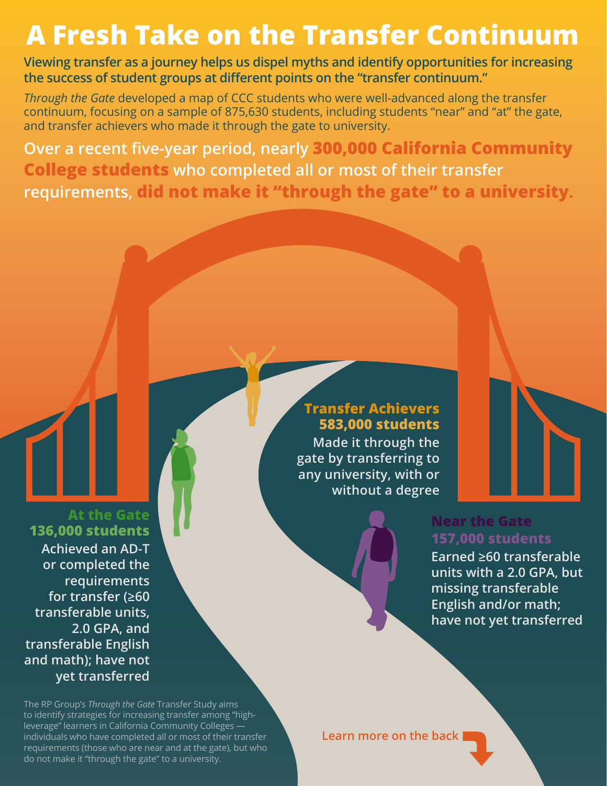## **A Fresh Take on the Transfer Continuum**

**Viewing transfer as a journey helps us dispel myths and identify opportunities for increasing the success of student groups at different points on the "transfer continuum."**

*Through the Gate* developed a map of CCC students who were well-advanced along the transfer  $\overline{\text{continuum}}$ , focusing on a sample of 875,630 students, including students "near" and "at" the gate, and transfer achievers who made it through the gate to university.

**Over a recent five-year period, nearly 300,000 California Community College students who completed all or most of their transfer requirements, did not make it "through the gate" to a university.**

**At the Gate 136,000 students Achieved an AD-T or completed the requirements for transfer (≥60 transferable units, 2.0 GPA, and transferable English and math); have not yet transferred**

**Transfer Achievers 583,000 students Made it through the gate by transferring to any university, with or** 

**without a degree**

**Near the Gate 157,000 students**

**Earned ≥60 transferable units with a 2.0 GPA, but missing transferable English and/or math; have not yet transferred**

The RP Group's *Through the Gate* Transfer Study aims to identify strategies for increasing transfer among "highleverage" learners in California Community Colleges individuals who have completed all or most of their transfer requirements (those who are near and at the gate), but who do not make it "through the gate" to a university.

**Learn more on the back**